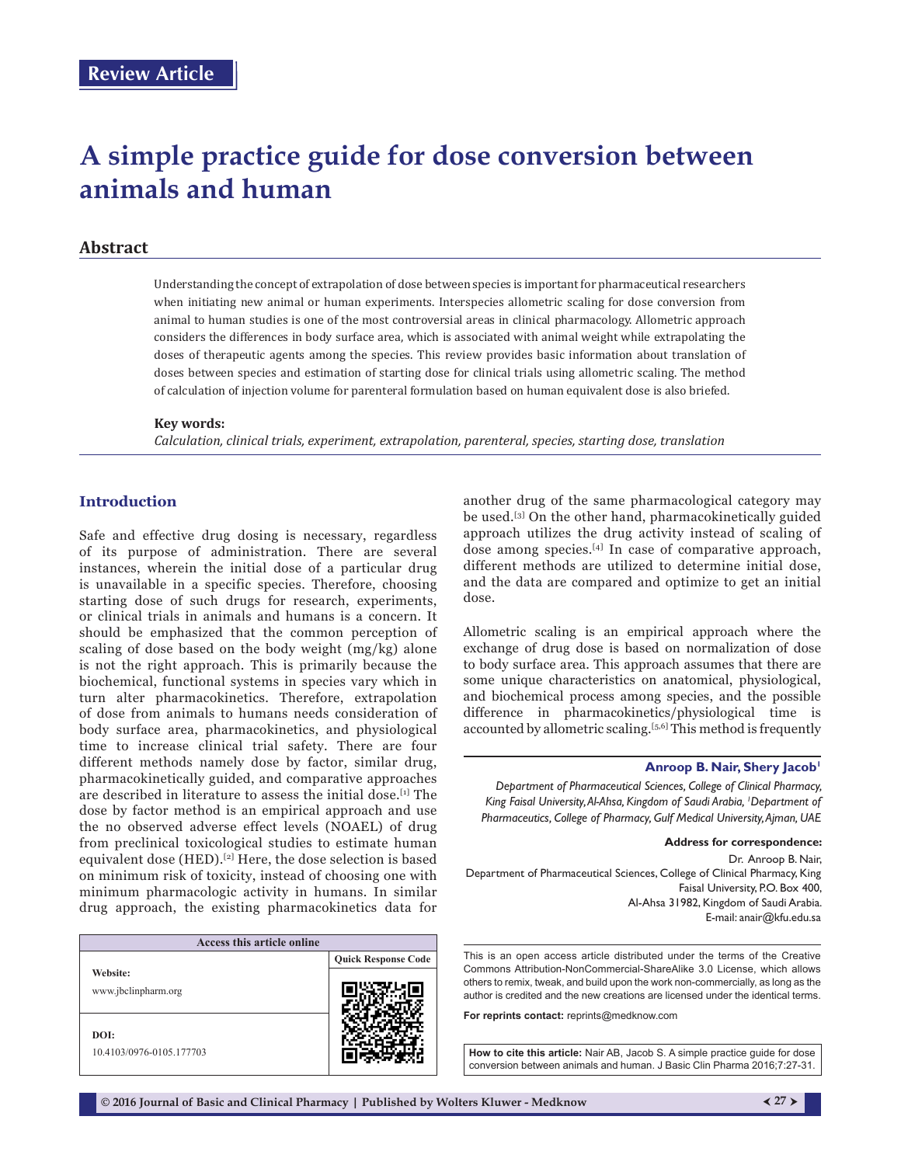# **A simple practice guide for dose conversion between animals and human**

# **Abstract**

Understanding the concept of extrapolation of dose between species is important for pharmaceutical researchers when initiating new animal or human experiments. Interspecies allometric scaling for dose conversion from animal to human studies is one of the most controversial areas in clinical pharmacology. Allometric approach considers the differences in body surface area, which is associated with animal weight while extrapolating the doses of therapeutic agents among the species. This review provides basic information about translation of doses between species and estimation of starting dose for clinical trials using allometric scaling. The method of calculation of injection volume for parenteral formulation based on human equivalent dose is also briefed.

#### **Key words:**

*Calculation, clinical trials, experiment, extrapolation, parenteral, species, starting dose, translation*

## **Introduction**

Safe and effective drug dosing is necessary, regardless of its purpose of administration. There are several instances, wherein the initial dose of a particular drug is unavailable in a specific species. Therefore, choosing starting dose of such drugs for research, experiments, or clinical trials in animals and humans is a concern. It should be emphasized that the common perception of scaling of dose based on the body weight (mg/kg) alone is not the right approach. This is primarily because the biochemical, functional systems in species vary which in turn alter pharmacokinetics. Therefore, extrapolation of dose from animals to humans needs consideration of body surface area, pharmacokinetics, and physiological time to increase clinical trial safety. There are four different methods namely dose by factor, similar drug, pharmacokinetically guided, and comparative approaches are described in literature to assess the initial dose.[1] The dose by factor method is an empirical approach and use the no observed adverse effect levels (NOAEL) of drug from preclinical toxicological studies to estimate human equivalent dose (HED).[2] Here, the dose selection is based on minimum risk of toxicity, instead of choosing one with minimum pharmacologic activity in humans. In similar drug approach, the existing pharmacokinetics data for

| Access this article online       |                            |
|----------------------------------|----------------------------|
|                                  | <b>Quick Response Code</b> |
| Website:<br>www.jbclinpharm.org  |                            |
| DOI:<br>10.4103/0976-0105.177703 |                            |

another drug of the same pharmacological category may be used.[3] On the other hand, pharmacokinetically guided approach utilizes the drug activity instead of scaling of dose among species.<sup>[4]</sup> In case of comparative approach, different methods are utilized to determine initial dose, and the data are compared and optimize to get an initial dose.

Allometric scaling is an empirical approach where the exchange of drug dose is based on normalization of dose to body surface area. This approach assumes that there are some unique characteristics on anatomical, physiological, and biochemical process among species, and the possible difference in pharmacokinetics/physiological time is accounted by allometric scaling.<sup>[5,6]</sup> This method is frequently

#### **Anroop B. Nair, Shery Jacob'**

*Department of Pharmaceutical Sciences, College of Clinical Pharmacy, King Faisal University, Al‑Ahsa, Kingdom of Saudi Arabia, 1 Department of Pharmaceutics, College of Pharmacy, Gulf Medical University, Ajman, UAE*

**Address for correspondence:** 

Dr. Anroop B. Nair, Department of Pharmaceutical Sciences, College of Clinical Pharmacy, King Faisal University, P.O. Box 400, Al‑Ahsa 31982, Kingdom of Saudi Arabia. E‑mail: anair@kfu.edu.sa

This is an open access article distributed under the terms of the Creative Commons Attribution-NonCommercial-ShareAlike 3.0 License, which allows others to remix, tweak, and build upon the work non-commercially, as long as the author is credited and the new creations are licensed under the identical terms.

**For reprints contact:** reprints@medknow.com

**How to cite this article:** Nair AB, Jacob S. A simple practice guide for dose conversion between animals and human. J Basic Clin Pharma 2016;7:27-31.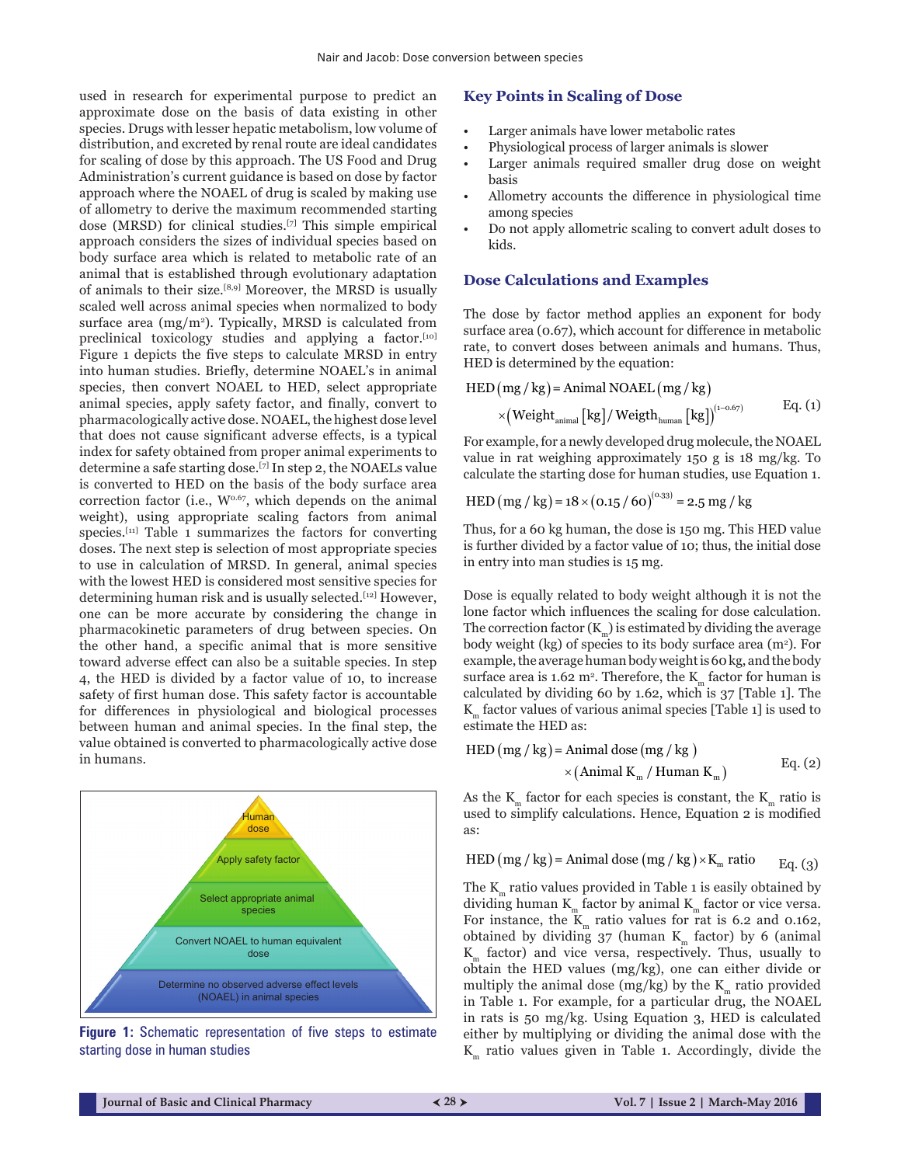used in research for experimental purpose to predict an approximate dose on the basis of data existing in other species. Drugs with lesser hepatic metabolism, low volume of distribution, and excreted by renal route are ideal candidates for scaling of dose by this approach. The US Food and Drug Administration's current guidance is based on dose by factor approach where the NOAEL of drug is scaled by making use of allometry to derive the maximum recommended starting dose (MRSD) for clinical studies.[7] This simple empirical approach considers the sizes of individual species based on body surface area which is related to metabolic rate of an animal that is established through evolutionary adaptation of animals to their size.[8,9] Moreover, the MRSD is usually scaled well across animal species when normalized to body surface area  $(mg/m<sup>2</sup>)$ . Typically, MRSD is calculated from preclinical toxicology studies and applying a factor.<sup>[10]</sup> Figure 1 depicts the five steps to calculate MRSD in entry into human studies. Briefly, determine NOAEL's in animal species, then convert NOAEL to HED, select appropriate animal species, apply safety factor, and finally, convert to pharmacologically active dose. NOAEL, the highest dose level that does not cause significant adverse effects, is a typical index for safety obtained from proper animal experiments to determine a safe starting dose.[7] In step 2, the NOAELs value is converted to HED on the basis of the body surface area correction factor (i.e.,  $W^{0.67}$ , which depends on the animal weight), using appropriate scaling factors from animal species.<sup>[11]</sup> Table 1 summarizes the factors for converting doses. The next step is selection of most appropriate species to use in calculation of MRSD. In general, animal species with the lowest HED is considered most sensitive species for determining human risk and is usually selected.[12] However, one can be more accurate by considering the change in pharmacokinetic parameters of drug between species. On the other hand, a specific animal that is more sensitive toward adverse effect can also be a suitable species. In step 4, the HED is divided by a factor value of 10, to increase safety of first human dose. This safety factor is accountable for differences in physiological and biological processes between human and animal species. In the final step, the value obtained is converted to pharmacologically active dose in humans.



**Figure 1:** Schematic representation of five steps to estimate starting dose in human studies

#### **Key Points in Scaling of Dose**

- Larger animals have lower metabolic rates
- Physiological process of larger animals is slower
- Larger animals required smaller drug dose on weight basis
- Allometry accounts the difference in physiological time among species
- Do not apply allometric scaling to convert adult doses to kids.

#### **Dose Calculations and Examples**

The dose by factor method applies an exponent for body surface area (0.67), which account for difference in metabolic rate, to convert doses between animals and humans. Thus, HED is determined by the equation:

$$
HED(mg/kg) = Animal NOAEL(mg/kg)
$$
  
×(Weight<sub>animal</sub> [kg]/Weight<sub>human</sub> [kg])<sup>(1-0.67)</sup> Eq. (1)

For example, for a newly developed drug molecule, the NOAEL value in rat weighing approximately 150 g is 18 mg/kg. To calculate the starting dose for human studies, use Equation 1.

$$
HED (mg / kg) = 18 \times (0.15 / 60)^{(0.33)} = 2.5 mg / kg
$$

Thus, for a 60 kg human, the dose is 150 mg. This HED value is further divided by a factor value of 10; thus, the initial dose in entry into man studies is 15 mg.

Dose is equally related to body weight although it is not the lone factor which influences the scaling for dose calculation. The correction factor  $(K_m)$  is estimated by dividing the average body weight (kg) of species to its body surface area (m<sup>2</sup>). For example, the average human body weight is 60kg, and the body surface area is 1.62 m². Therefore, the  $\text{K}_{\text{m}}$  factor for human is calculated by dividing 60 by 1.62, which is 37 [Table 1]. The  $K<sub>m</sub>$  factor values of various animal species [Table 1] is used to estimate the HED as:

$$
HED (mg/kg) = Animal dose (mg/kg)
$$
  
× (Animal K<sub>m</sub> / Human K<sub>m</sub>) 
$$
Eq. (2)
$$

As the  $K_m$  factor for each species is constant, the  $K_m$  ratio is used to simplify calculations. Hence, Equation 2 is modified as:

$$
HED (mg/kg) = Animal dose (mg/kg) \times K_m ratio Eq. (3)
$$

The  $K_m$  ratio values provided in Table 1 is easily obtained by dividing human  $K_m$  factor by animal  $K_m$  factor or vice versa. For instance, the  $\mathbf{K}_{\text{m}}$  ratio values for rat is 6.2 and 0.162, obtained by dividing  $37$  (human K<sub>m</sub> factor) by 6 (animal  $K<sub>m</sub>$  factor) and vice versa, respectively. Thus, usually to obtain the HED values (mg/kg), one can either divide or multiply the animal dose (mg/kg) by the  $K_m$  ratio provided in Table 1. For example, for a particular drug, the NOAEL in rats is 50 mg/kg. Using Equation 3, HED is calculated either by multiplying or dividing the animal dose with the  $K<sub>m</sub>$  ratio values given in Table 1. Accordingly, divide the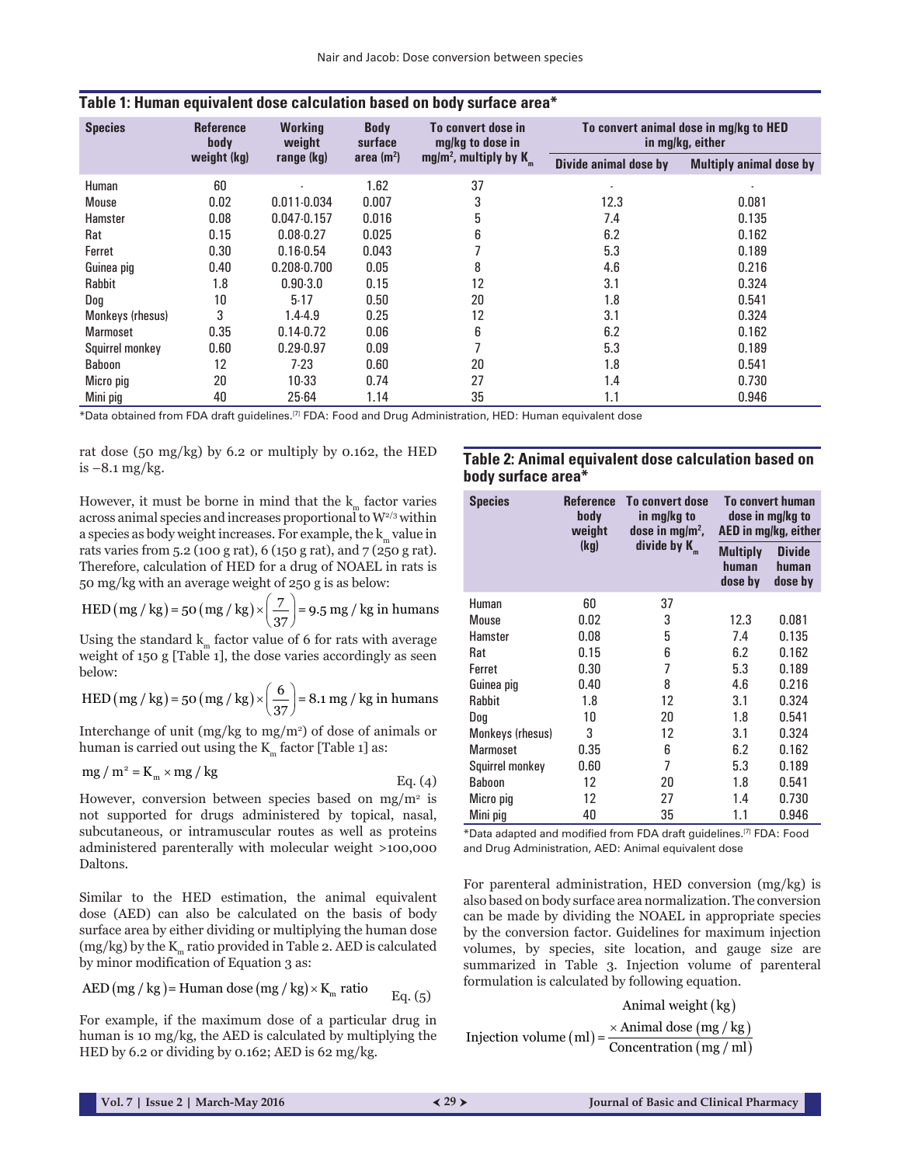| <b>Species</b>   | <b>Reference</b><br>body | <b>Working</b><br>weight | <b>Body</b><br>surface | To convert dose in<br>mg/kg to dose in |                       | To convert animal dose in mg/kg to HED<br>in mg/kg, either |
|------------------|--------------------------|--------------------------|------------------------|----------------------------------------|-----------------------|------------------------------------------------------------|
|                  | weight (kg)              | range (kg)               | area $(m^2)$           | mg/m <sup>2</sup> , multiply by $K_m$  | Divide animal dose by | <b>Multiply animal dose by</b>                             |
| Human            | 60                       |                          | 1.62                   | 37                                     |                       |                                                            |
| Mouse            | 0.02                     | $0.011 - 0.034$          | 0.007                  | 3                                      | 12.3                  | 0.081                                                      |
| Hamster          | 0.08                     | 0.047.0.157              | 0.016                  | 5                                      | 7.4                   | 0.135                                                      |
| Rat              | 0.15                     | $0.08 - 0.27$            | 0.025                  | 6                                      | 6.2                   | 0.162                                                      |
| Ferret           | 0.30                     | $0.16 - 0.54$            | 0.043                  | ⇁                                      | 5.3                   | 0.189                                                      |
| Guinea pig       | 0.40                     | $0.208 - 0.700$          | 0.05                   | 8                                      | 4.6                   | 0.216                                                      |
| Rabbit           | 1.8                      | $0.90 - 3.0$             | 0.15                   | 12                                     | 3.1                   | 0.324                                                      |
| Dog              | 10                       | $5 - 17$                 | 0.50                   | 20                                     | 1.8                   | 0.541                                                      |
| Monkeys (rhesus) | 3                        | $1.4 - 4.9$              | 0.25                   | 12                                     | 3.1                   | 0.324                                                      |
| <b>Marmoset</b>  | 0.35                     | $0.14 - 0.72$            | 0.06                   | 6                                      | 6.2                   | 0.162                                                      |
| Squirrel monkey  | 0.60                     | $0.29 - 0.97$            | 0.09                   | $\overline{ }$                         | 5.3                   | 0.189                                                      |
| Baboon           | 12                       | $7-23$                   | 0.60                   | 20                                     | 1.8                   | 0.541                                                      |
| Micro pig        | 20                       | 10-33                    | 0.74                   | 27                                     | 1.4                   | 0.730                                                      |
| Mini pig         | 40                       | 25-64                    | 1.14                   | 35                                     | 1.1                   | 0.946                                                      |

#### **Table 1: Human equivalent dose calculation based on body surface area\***

\*Data obtained from FDA draft guidelines.[7] FDA: Food and Drug Administration, HED: Human equivalent dose

rat dose (50 mg/kg) by  $6.2$  or multiply by  $0.162$ , the HED is  $-8.1$  mg/kg.

However, it must be borne in mind that the  $k_m$  factor varies across animal species and increases proportional to  $W^{2/3}$  within a species as body weight increases. For example, the  $k_m$  value in rats varies from 5.2 (100 g rat), 6 (150 g rat), and 7 (250 g rat). Therefore, calculation of HED for a drug of NOAEL in rats is 50 mg/kg with an average weight of 250 g is as below:

$$
HED (mg/kg) = 50 (mg/kg) \times \left(\frac{7}{37}\right) = 9.5 mg/kg in humans
$$

Using the standard  $k<sub>m</sub>$  factor value of 6 for rats with average weight of 150 g [Table 1], the dose varies accordingly as seen below:

$$
HED (mg/kg) = 50 (mg/kg) \times \left(\frac{6}{37}\right) = 8.1 mg/kg \text{ in humans}
$$

Interchange of unit  $(mg/kg \text{ to } mg/m^2)$  of dose of animals or human is carried out using the  $K<sub>m</sub>$  factor [Table 1] as:

$$
mg / m2 = Km \times mg / kg
$$
 Eq. (4)

However, conversion between species based on  $mg/m^2$  is not supported for drugs administered by topical, nasal, subcutaneous, or intramuscular routes as well as proteins administered parenterally with molecular weight >100,000 Daltons.

Similar to the HED estimation, the animal equivalent dose (AED) can also be calculated on the basis of body surface area by either dividing or multiplying the human dose (mg/kg) by the  $K_m$  ratio provided in Table 2. AED is calculated by minor modification of Equation 3 as:

AED (mg / kg) = Human dose (mg / kg) × K<sub>m</sub> ratio 
$$
Eq. (5)
$$

For example, if the maximum dose of a particular drug in human is 10 mg/kg, the AED is calculated by multiplying the HED by 6.2 or dividing by 0.162; AED is 62 mg/kg.

# **Table 2: Animal equivalent dose calculation based on body surface area\***

| <b>Species</b>   | <b>Reference</b><br>body<br>weight | To convert dose<br>in mg/kg to<br>dose in mg/m <sup>2</sup> , |                                     | <b>To convert human</b><br>dose in mg/kg to<br>AED in mg/kg, either |
|------------------|------------------------------------|---------------------------------------------------------------|-------------------------------------|---------------------------------------------------------------------|
|                  | (kq)                               | divide by K                                                   | <b>Multiply</b><br>human<br>dose by | <b>Divide</b><br>human<br>dose by                                   |
| Human            | 60                                 | 37                                                            |                                     |                                                                     |
| Mouse            | 0.02                               | 3                                                             | 12.3                                | 0.081                                                               |
| Hamster          | 0.08                               | 5                                                             | 7.4                                 | 0.135                                                               |
| Rat              | 0.15                               | 6                                                             | 6.2                                 | 0.162                                                               |
| Ferret           | 0.30                               | 7                                                             | 5.3                                 | 0.189                                                               |
| Guinea pig       | 0.40                               | 8                                                             | 4.6                                 | 0.216                                                               |
| <b>Rabbit</b>    | 1.8                                | 12                                                            | 3.1                                 | 0.324                                                               |
| Dog              | 10                                 | 20                                                            | 1.8                                 | 0.541                                                               |
| Monkeys (rhesus) | 3                                  | 12                                                            | 3.1                                 | 0.324                                                               |
| <b>Marmoset</b>  | 0.35                               | 6                                                             | 6.2                                 | 0.162                                                               |
| Squirrel monkey  | 0.60                               | 7                                                             | 5.3                                 | 0.189                                                               |
| Baboon           | 12                                 | 20                                                            | 1.8                                 | 0.541                                                               |
| Micro pig        | 12                                 | 27                                                            | 1.4                                 | 0.730                                                               |
| Mini pig         | 40                                 | 35                                                            | 1.1                                 | 0.946                                                               |

\*Data adapted and modified from FDA draft guidelines.[7] FDA: Food and Drug Administration, AED: Animal equivalent dose

For parenteral administration, HED conversion (mg/kg) is also based on body surface area normalization. The conversion can be made by dividing the NOAEL in appropriate species by the conversion factor. Guidelines for maximum injection volumes, by species, site location, and gauge size are summarized in Table 3. Injection volume of parenteral formulation is calculated by following equation.

 $(ml) = \frac{\times \text{Animal dose} (mg/kg)}{g}$ Animal weight (kg)  $(mg / ml)$ Injection volume  $(ml) = \frac{\times \text{Animal dose (mg / kg)}}{\text{Concentration (mg / ml)}}$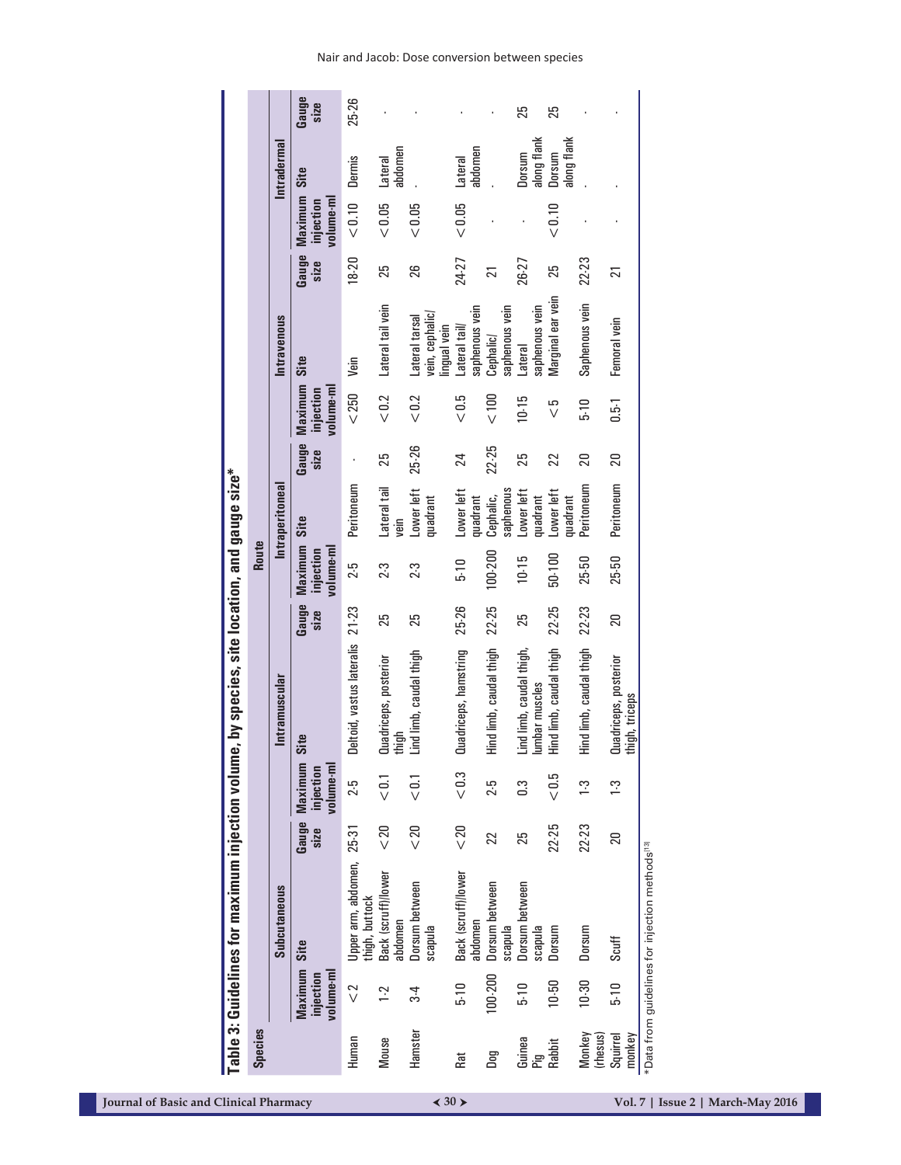| <b>Table 3: Guidelines for maximum injection volum</b><br><b>Species</b> |                 |                                   | e, by species, site location, and gauge size* |                 |                                   |                        |                 |                                   |                                                   |                 |                                   |                       |               |
|--------------------------------------------------------------------------|-----------------|-----------------------------------|-----------------------------------------------|-----------------|-----------------------------------|------------------------|-----------------|-----------------------------------|---------------------------------------------------|-----------------|-----------------------------------|-----------------------|---------------|
|                                                                          |                 |                                   |                                               |                 | Route                             |                        |                 |                                   |                                                   |                 |                                   |                       |               |
| <b>Subcutaneous</b>                                                      |                 |                                   | Intramuscular                                 |                 |                                   | Intraperitoneal        |                 |                                   | Intravenous                                       |                 |                                   | <b>Intradermal</b>    |               |
| Site<br>Maximum<br>volume-ml<br>injection                                | Gauge<br>size   | Maximum<br>volume-ml<br>injection | Site                                          | Gauge<br>size   | Maximum<br>volume-ml<br>injection | Site                   | Gauge<br>size   | Maximum<br>volume-ml<br>injection | Site                                              | Gauge<br>size   | Maximum<br>volume-ml<br>injection | Site                  | Gauge<br>size |
| Upper arm, abdomen,<br>thigh, buttock<br>$\sqrt{2}$                      | 25-31           | 2.5                               | Deltoid, vastus lateralis                     | $21 - 23$       | 2.5                               | Peritoneum             | $\cdot$         | < 250                             | yein                                              | 18-20           | $< 0.10$                          | Dermis                | 25-26         |
| Back (scruff)/lower<br>abdomen<br>1.2                                    | $20$            | $\overline{5}$                    | Quadriceps, posterior<br>thigh                | 25              | 2.3                               | Lateral tail<br>yein   | 25              | $< 0.2$                           | Lateral tail vein                                 | 25              | $< 0.05$                          | abdomen<br>Lateral    |               |
| Dorsum between<br>scapula<br>$3\overline{4}$                             | $20$            | $\leq$                            | Lind limb, caudal thigh                       | 25              | 2.3                               | Lower left<br>quadrant | 25-26           | $< 0.2$                           | vein, cephalic/<br>Lateral tarsal<br>lingual vein | 26              | $<0.05$                           |                       |               |
| Back (scruff)/lower<br>abdomen<br>$5-10$                                 | $< 20$          | < 0.3                             | Quadriceps, hamstring                         | 25-26           | $5 - 10$                          | Lower left<br>quadrant | 24              | < 0.5                             | saphenous vein<br>Lateral tail/                   | 24-27           | $<0.05$                           | abdomen<br>Lateral    |               |
| Dorsum between<br>scapula<br>100-200                                     | 22              | 2.5                               | lind limb, caudal thigh                       | 22-25           | 100-200                           | saphenous<br>Cephalic, | 22-25           | < 100                             | saphenous vein<br>Cephalic/                       | $\overline{21}$ |                                   |                       |               |
| Dorsum between<br>scapula<br>$-10$                                       | 25              | C3                                | Lind limb, caudal thigh,<br>umbar muscles     | 25              | $10 - 15$                         | Lower left<br>quadrant | 25              | 10-15                             | saphenous vein<br>Lateral                         | 26-27           |                                   | along flank<br>Dorsum | 25            |
| Dorsum<br>$10 - 50$                                                      | 22-25           | < 0.5                             | lind limb, caudal thigh                       | 22-25           | 50-100                            | Lower left<br>quadrant | 22              | $\frac{5}{\sqrt{2}}$              | Marginal ear vein                                 | 25              | $< 0.10$                          | along flank<br>Dorsum | 25            |
| Dorsum<br>10-30                                                          | 22-23           | $\frac{3}{2}$                     | lind limb, caudal thigh                       | 22-23           | 25-50                             | Peritoneum             | $\overline{20}$ | $\frac{6}{5}$                     | Saphenous vein                                    | 22-23           |                                   |                       |               |
| Scuff<br>$-10$<br>Squirrel                                               | $\overline{20}$ | $\frac{1}{2}$                     | Quadriceps, posterior<br>thigh, triceps       | $\overline{20}$ | 25-50                             | Peritoneum             | 20              | $0.5 - 1$                         | Femoral vein                                      | $\overline{21}$ |                                   |                       |               |

Nair and Jacob: Dose conversion between species